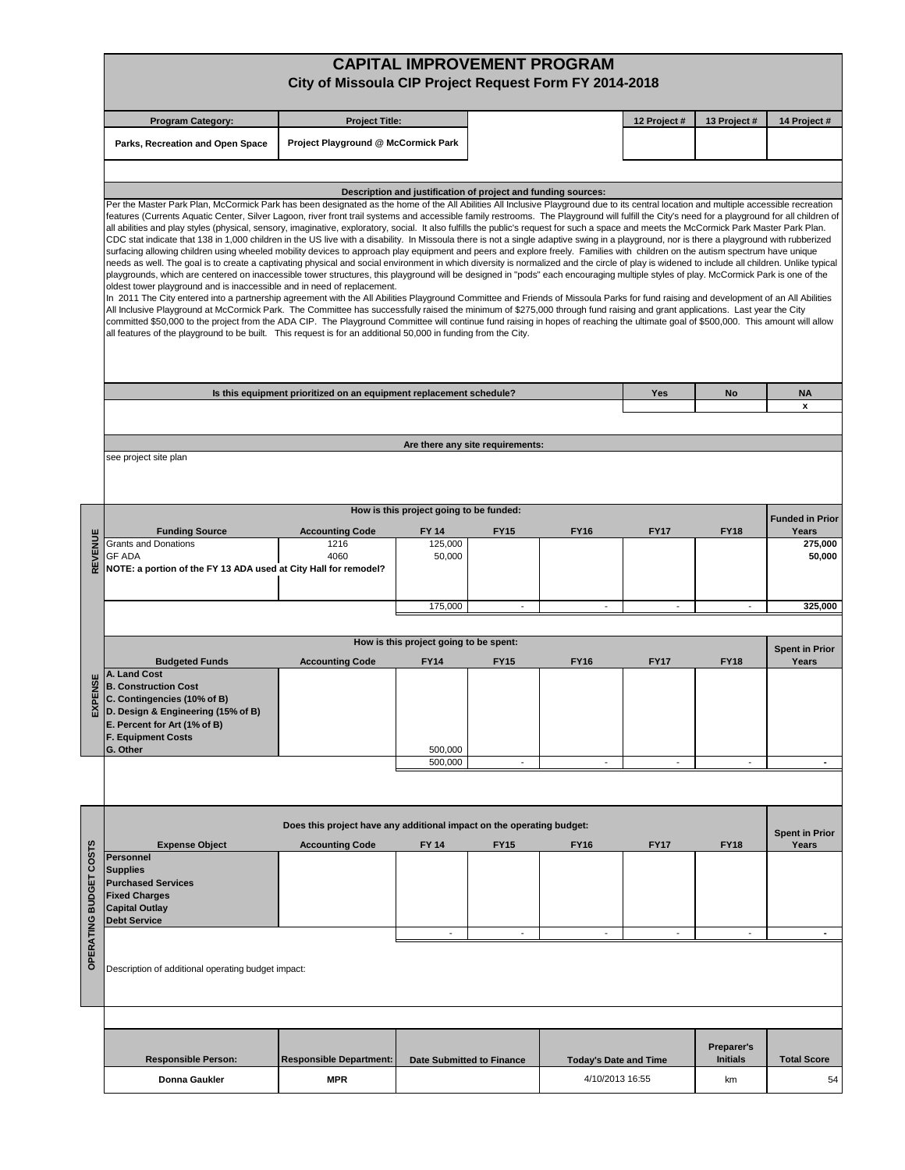|                  |                                                                                                                                                                                                                                                                                                                                                                                                                                                                                                                                                                                                                                                                                                                                                                                                                                                                                                                                                                                                                                                                                                                                                                                                                                                                                                                                                                                                                                                                                                                                                                                                                                                                                                                                                                                                                                                                                                                                                                                                                                                                                                                                                                                       | City of Missoula CIP Project Request Form FY 2014-2018                |                                                       |                                  | <b>CAPITAL IMPROVEMENT PROGRAM</b>              |             |                               |                                |  |  |  |  |
|------------------|---------------------------------------------------------------------------------------------------------------------------------------------------------------------------------------------------------------------------------------------------------------------------------------------------------------------------------------------------------------------------------------------------------------------------------------------------------------------------------------------------------------------------------------------------------------------------------------------------------------------------------------------------------------------------------------------------------------------------------------------------------------------------------------------------------------------------------------------------------------------------------------------------------------------------------------------------------------------------------------------------------------------------------------------------------------------------------------------------------------------------------------------------------------------------------------------------------------------------------------------------------------------------------------------------------------------------------------------------------------------------------------------------------------------------------------------------------------------------------------------------------------------------------------------------------------------------------------------------------------------------------------------------------------------------------------------------------------------------------------------------------------------------------------------------------------------------------------------------------------------------------------------------------------------------------------------------------------------------------------------------------------------------------------------------------------------------------------------------------------------------------------------------------------------------------------|-----------------------------------------------------------------------|-------------------------------------------------------|----------------------------------|-------------------------------------------------|-------------|-------------------------------|--------------------------------|--|--|--|--|
|                  | <b>Program Category:</b>                                                                                                                                                                                                                                                                                                                                                                                                                                                                                                                                                                                                                                                                                                                                                                                                                                                                                                                                                                                                                                                                                                                                                                                                                                                                                                                                                                                                                                                                                                                                                                                                                                                                                                                                                                                                                                                                                                                                                                                                                                                                                                                                                              | <b>Project Title:</b>                                                 |                                                       |                                  |                                                 | 12 Project# | 13 Project #                  | 14 Project #                   |  |  |  |  |
|                  | Parks, Recreation and Open Space                                                                                                                                                                                                                                                                                                                                                                                                                                                                                                                                                                                                                                                                                                                                                                                                                                                                                                                                                                                                                                                                                                                                                                                                                                                                                                                                                                                                                                                                                                                                                                                                                                                                                                                                                                                                                                                                                                                                                                                                                                                                                                                                                      | Project Playground @ McCormick Park                                   |                                                       |                                  |                                                 |             |                               |                                |  |  |  |  |
|                  |                                                                                                                                                                                                                                                                                                                                                                                                                                                                                                                                                                                                                                                                                                                                                                                                                                                                                                                                                                                                                                                                                                                                                                                                                                                                                                                                                                                                                                                                                                                                                                                                                                                                                                                                                                                                                                                                                                                                                                                                                                                                                                                                                                                       |                                                                       |                                                       |                                  |                                                 |             |                               |                                |  |  |  |  |
|                  |                                                                                                                                                                                                                                                                                                                                                                                                                                                                                                                                                                                                                                                                                                                                                                                                                                                                                                                                                                                                                                                                                                                                                                                                                                                                                                                                                                                                                                                                                                                                                                                                                                                                                                                                                                                                                                                                                                                                                                                                                                                                                                                                                                                       |                                                                       |                                                       |                                  |                                                 |             |                               |                                |  |  |  |  |
|                  | Description and justification of project and funding sources:<br>Per the Master Park Plan, McCormick Park has been designated as the home of the All Abilities All Inclusive Playground due to its central location and multiple accessible recreation<br>features (Currents Aquatic Center, Silver Lagoon, river front trail systems and accessible family restrooms. The Playground will fulfill the City's need for a playground for all children of<br>all abilities and play styles (physical, sensory, imaginative, exploratory, social. It also fulfills the public's request for such a space and meets the McCormick Park Master Park Plan.<br>CDC stat indicate that 138 in 1,000 children in the US live with a disability. In Missoula there is not a single adaptive swing in a playground, nor is there a playground with rubberized<br>surfacing allowing children using wheeled mobility devices to approach play equipment and peers and explore freely. Families with children on the autism spectrum have unique<br>needs as well. The goal is to create a captivating physical and social environment in which diversity is normalized and the circle of play is widened to include all children. Unlike typical<br>playgrounds, which are centered on inaccessible tower structures, this playground will be designed in "pods" each encouraging multiple styles of play. McCormick Park is one of the<br>oldest tower playground and is inaccessible and in need of replacement.<br>In 2011 The City entered into a partnership agreement with the All Abilities Playground Committee and Friends of Missoula Parks for fund raising and development of an All Abilities<br>All Inclusive Playground at McCormick Park. The Committee has successfully raised the minimum of \$275,000 through fund raising and grant applications. Last year the City<br>committed \$50,000 to the project from the ADA CIP. The Playground Committee will continue fund raising in hopes of reaching the ultimate goal of \$500,000. This amount will allow<br>all features of the playground to be built. This request is for an additional 50,000 in funding from the City. |                                                                       |                                                       |                                  |                                                 |             |                               |                                |  |  |  |  |
|                  |                                                                                                                                                                                                                                                                                                                                                                                                                                                                                                                                                                                                                                                                                                                                                                                                                                                                                                                                                                                                                                                                                                                                                                                                                                                                                                                                                                                                                                                                                                                                                                                                                                                                                                                                                                                                                                                                                                                                                                                                                                                                                                                                                                                       |                                                                       |                                                       |                                  |                                                 |             |                               |                                |  |  |  |  |
|                  |                                                                                                                                                                                                                                                                                                                                                                                                                                                                                                                                                                                                                                                                                                                                                                                                                                                                                                                                                                                                                                                                                                                                                                                                                                                                                                                                                                                                                                                                                                                                                                                                                                                                                                                                                                                                                                                                                                                                                                                                                                                                                                                                                                                       | Is this equipment prioritized on an equipment replacement schedule?   |                                                       |                                  |                                                 | Yes         | <b>No</b>                     | <b>NA</b><br>x                 |  |  |  |  |
|                  |                                                                                                                                                                                                                                                                                                                                                                                                                                                                                                                                                                                                                                                                                                                                                                                                                                                                                                                                                                                                                                                                                                                                                                                                                                                                                                                                                                                                                                                                                                                                                                                                                                                                                                                                                                                                                                                                                                                                                                                                                                                                                                                                                                                       |                                                                       |                                                       |                                  |                                                 |             |                               |                                |  |  |  |  |
|                  |                                                                                                                                                                                                                                                                                                                                                                                                                                                                                                                                                                                                                                                                                                                                                                                                                                                                                                                                                                                                                                                                                                                                                                                                                                                                                                                                                                                                                                                                                                                                                                                                                                                                                                                                                                                                                                                                                                                                                                                                                                                                                                                                                                                       |                                                                       |                                                       | Are there any site requirements: |                                                 |             |                               |                                |  |  |  |  |
|                  | see project site plan                                                                                                                                                                                                                                                                                                                                                                                                                                                                                                                                                                                                                                                                                                                                                                                                                                                                                                                                                                                                                                                                                                                                                                                                                                                                                                                                                                                                                                                                                                                                                                                                                                                                                                                                                                                                                                                                                                                                                                                                                                                                                                                                                                 |                                                                       |                                                       |                                  |                                                 |             |                               |                                |  |  |  |  |
|                  |                                                                                                                                                                                                                                                                                                                                                                                                                                                                                                                                                                                                                                                                                                                                                                                                                                                                                                                                                                                                                                                                                                                                                                                                                                                                                                                                                                                                                                                                                                                                                                                                                                                                                                                                                                                                                                                                                                                                                                                                                                                                                                                                                                                       |                                                                       | How is this project going to be funded:               |                                  |                                                 |             |                               | <b>Funded in Prior</b>         |  |  |  |  |
|                  | <b>Funding Source</b><br><b>Grants and Donations</b>                                                                                                                                                                                                                                                                                                                                                                                                                                                                                                                                                                                                                                                                                                                                                                                                                                                                                                                                                                                                                                                                                                                                                                                                                                                                                                                                                                                                                                                                                                                                                                                                                                                                                                                                                                                                                                                                                                                                                                                                                                                                                                                                  | <b>Accounting Code</b><br>1216                                        | FY 14<br>125,000                                      | <b>FY15</b>                      | <b>FY16</b>                                     | <b>FY17</b> | <b>FY18</b>                   | Years<br>275,000               |  |  |  |  |
| REVENUE          | <b>GF ADA</b><br>NOTE: a portion of the FY 13 ADA used at City Hall for remodel?                                                                                                                                                                                                                                                                                                                                                                                                                                                                                                                                                                                                                                                                                                                                                                                                                                                                                                                                                                                                                                                                                                                                                                                                                                                                                                                                                                                                                                                                                                                                                                                                                                                                                                                                                                                                                                                                                                                                                                                                                                                                                                      | 4060                                                                  | 50,000                                                |                                  |                                                 |             |                               | 50,000                         |  |  |  |  |
|                  |                                                                                                                                                                                                                                                                                                                                                                                                                                                                                                                                                                                                                                                                                                                                                                                                                                                                                                                                                                                                                                                                                                                                                                                                                                                                                                                                                                                                                                                                                                                                                                                                                                                                                                                                                                                                                                                                                                                                                                                                                                                                                                                                                                                       |                                                                       | 175,000                                               | $\overline{\phantom{a}}$         | $\overline{a}$                                  |             |                               | 325,000                        |  |  |  |  |
|                  |                                                                                                                                                                                                                                                                                                                                                                                                                                                                                                                                                                                                                                                                                                                                                                                                                                                                                                                                                                                                                                                                                                                                                                                                                                                                                                                                                                                                                                                                                                                                                                                                                                                                                                                                                                                                                                                                                                                                                                                                                                                                                                                                                                                       |                                                                       |                                                       |                                  |                                                 |             |                               |                                |  |  |  |  |
|                  | <b>Budgeted Funds</b>                                                                                                                                                                                                                                                                                                                                                                                                                                                                                                                                                                                                                                                                                                                                                                                                                                                                                                                                                                                                                                                                                                                                                                                                                                                                                                                                                                                                                                                                                                                                                                                                                                                                                                                                                                                                                                                                                                                                                                                                                                                                                                                                                                 | <b>Accounting Code</b>                                                | How is this project going to be spent:<br><b>FY14</b> | <b>FY15</b>                      | <b>FY16</b>                                     | <b>FY17</b> | <b>FY18</b>                   | <b>Spent in Prior</b><br>Years |  |  |  |  |
| PENSE<br>⋒       | A. Land Cost<br><b>B. Construction Cost</b><br>C. Contingencies (10% of B)<br>D. Design & Engineering (15% of B)<br>E. Percent for Art (1% of B)<br><b>F. Equipment Costs</b><br>G. Other                                                                                                                                                                                                                                                                                                                                                                                                                                                                                                                                                                                                                                                                                                                                                                                                                                                                                                                                                                                                                                                                                                                                                                                                                                                                                                                                                                                                                                                                                                                                                                                                                                                                                                                                                                                                                                                                                                                                                                                             |                                                                       | 500,000                                               |                                  |                                                 |             |                               |                                |  |  |  |  |
|                  |                                                                                                                                                                                                                                                                                                                                                                                                                                                                                                                                                                                                                                                                                                                                                                                                                                                                                                                                                                                                                                                                                                                                                                                                                                                                                                                                                                                                                                                                                                                                                                                                                                                                                                                                                                                                                                                                                                                                                                                                                                                                                                                                                                                       |                                                                       | 500,000                                               |                                  |                                                 |             |                               | ٠                              |  |  |  |  |
|                  |                                                                                                                                                                                                                                                                                                                                                                                                                                                                                                                                                                                                                                                                                                                                                                                                                                                                                                                                                                                                                                                                                                                                                                                                                                                                                                                                                                                                                                                                                                                                                                                                                                                                                                                                                                                                                                                                                                                                                                                                                                                                                                                                                                                       |                                                                       |                                                       |                                  |                                                 |             |                               |                                |  |  |  |  |
|                  |                                                                                                                                                                                                                                                                                                                                                                                                                                                                                                                                                                                                                                                                                                                                                                                                                                                                                                                                                                                                                                                                                                                                                                                                                                                                                                                                                                                                                                                                                                                                                                                                                                                                                                                                                                                                                                                                                                                                                                                                                                                                                                                                                                                       |                                                                       |                                                       |                                  |                                                 |             |                               |                                |  |  |  |  |
|                  |                                                                                                                                                                                                                                                                                                                                                                                                                                                                                                                                                                                                                                                                                                                                                                                                                                                                                                                                                                                                                                                                                                                                                                                                                                                                                                                                                                                                                                                                                                                                                                                                                                                                                                                                                                                                                                                                                                                                                                                                                                                                                                                                                                                       | Does this project have any additional impact on the operating budget: |                                                       |                                  |                                                 |             |                               | <b>Spent in Prior</b>          |  |  |  |  |
| COSTS            | <b>Expense Object</b><br><b>Personnel</b>                                                                                                                                                                                                                                                                                                                                                                                                                                                                                                                                                                                                                                                                                                                                                                                                                                                                                                                                                                                                                                                                                                                                                                                                                                                                                                                                                                                                                                                                                                                                                                                                                                                                                                                                                                                                                                                                                                                                                                                                                                                                                                                                             | <b>Accounting Code</b>                                                | <b>FY 14</b>                                          | <b>FY15</b>                      | <b>FY16</b>                                     | <b>FY17</b> | <b>FY18</b>                   | Years                          |  |  |  |  |
| <b>BUDGET</b>    | <b>Supplies</b><br><b>Purchased Services</b><br><b>Fixed Charges</b><br><b>Capital Outlay</b>                                                                                                                                                                                                                                                                                                                                                                                                                                                                                                                                                                                                                                                                                                                                                                                                                                                                                                                                                                                                                                                                                                                                                                                                                                                                                                                                                                                                                                                                                                                                                                                                                                                                                                                                                                                                                                                                                                                                                                                                                                                                                         |                                                                       |                                                       |                                  |                                                 |             |                               |                                |  |  |  |  |
|                  | <b>Debt Service</b>                                                                                                                                                                                                                                                                                                                                                                                                                                                                                                                                                                                                                                                                                                                                                                                                                                                                                                                                                                                                                                                                                                                                                                                                                                                                                                                                                                                                                                                                                                                                                                                                                                                                                                                                                                                                                                                                                                                                                                                                                                                                                                                                                                   |                                                                       | $\overline{\phantom{a}}$                              |                                  |                                                 |             | ٠                             |                                |  |  |  |  |
| <b>OPERATING</b> | Description of additional operating budget impact:                                                                                                                                                                                                                                                                                                                                                                                                                                                                                                                                                                                                                                                                                                                                                                                                                                                                                                                                                                                                                                                                                                                                                                                                                                                                                                                                                                                                                                                                                                                                                                                                                                                                                                                                                                                                                                                                                                                                                                                                                                                                                                                                    |                                                                       |                                                       |                                  |                                                 |             |                               |                                |  |  |  |  |
|                  |                                                                                                                                                                                                                                                                                                                                                                                                                                                                                                                                                                                                                                                                                                                                                                                                                                                                                                                                                                                                                                                                                                                                                                                                                                                                                                                                                                                                                                                                                                                                                                                                                                                                                                                                                                                                                                                                                                                                                                                                                                                                                                                                                                                       |                                                                       |                                                       |                                  |                                                 |             |                               |                                |  |  |  |  |
|                  | <b>Responsible Person:</b>                                                                                                                                                                                                                                                                                                                                                                                                                                                                                                                                                                                                                                                                                                                                                                                                                                                                                                                                                                                                                                                                                                                                                                                                                                                                                                                                                                                                                                                                                                                                                                                                                                                                                                                                                                                                                                                                                                                                                                                                                                                                                                                                                            | <b>Responsible Department:</b>                                        | <b>Date Submitted to Finance</b>                      |                                  |                                                 |             | Preparer's<br><b>Initials</b> | <b>Total Score</b>             |  |  |  |  |
|                  | Donna Gaukler                                                                                                                                                                                                                                                                                                                                                                                                                                                                                                                                                                                                                                                                                                                                                                                                                                                                                                                                                                                                                                                                                                                                                                                                                                                                                                                                                                                                                                                                                                                                                                                                                                                                                                                                                                                                                                                                                                                                                                                                                                                                                                                                                                         | <b>MPR</b>                                                            |                                                       |                                  | <b>Today's Date and Time</b><br>4/10/2013 16:55 |             | km                            | 54                             |  |  |  |  |
|                  |                                                                                                                                                                                                                                                                                                                                                                                                                                                                                                                                                                                                                                                                                                                                                                                                                                                                                                                                                                                                                                                                                                                                                                                                                                                                                                                                                                                                                                                                                                                                                                                                                                                                                                                                                                                                                                                                                                                                                                                                                                                                                                                                                                                       |                                                                       |                                                       |                                  |                                                 |             |                               |                                |  |  |  |  |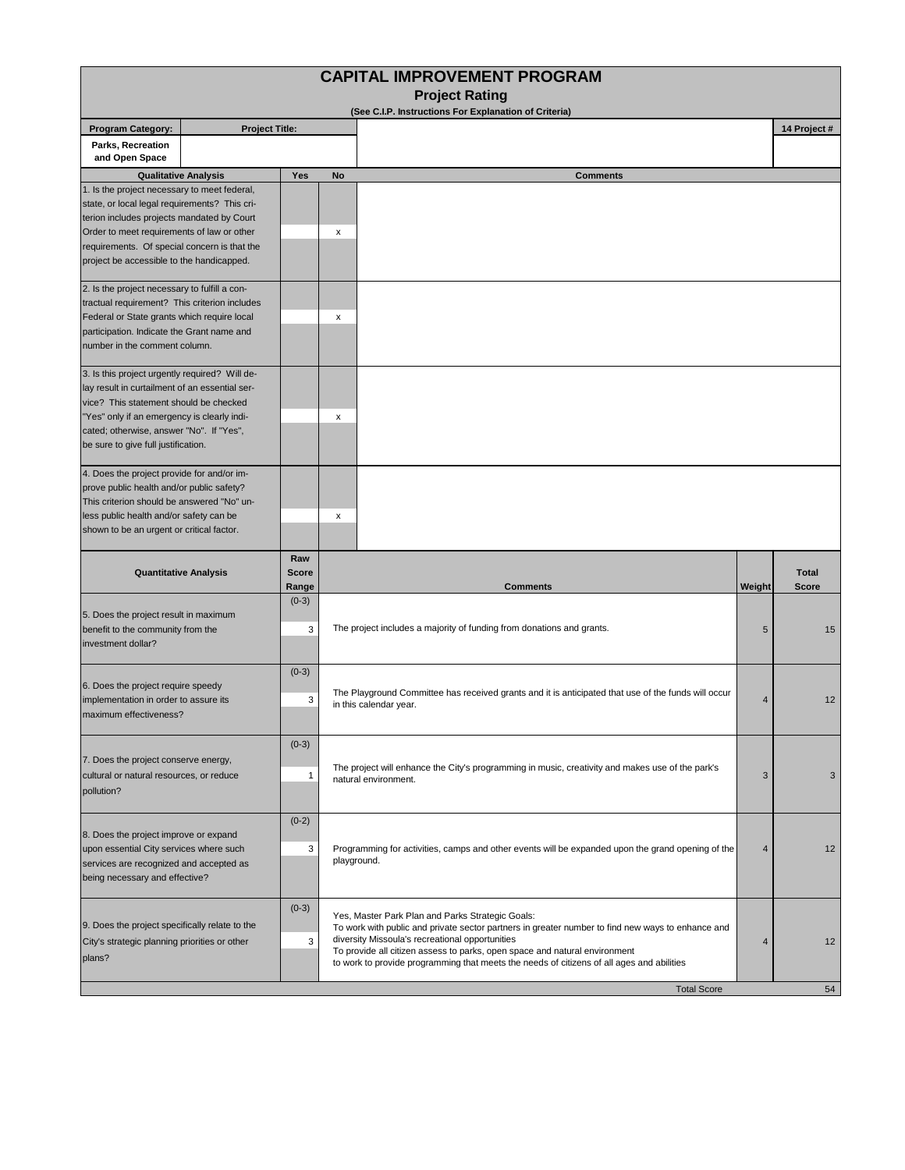| <b>CAPITAL IMPROVEMENT PROGRAM</b><br><b>Project Rating</b>                                     |                       |                     |                                                                                                                                                       |                |              |  |  |  |  |  |  |
|-------------------------------------------------------------------------------------------------|-----------------------|---------------------|-------------------------------------------------------------------------------------------------------------------------------------------------------|----------------|--------------|--|--|--|--|--|--|
| (See C.I.P. Instructions For Explanation of Criteria)                                           |                       |                     |                                                                                                                                                       |                |              |  |  |  |  |  |  |
| <b>Program Category:</b>                                                                        | <b>Project Title:</b> |                     |                                                                                                                                                       |                | 14 Project # |  |  |  |  |  |  |
| Parks, Recreation<br>and Open Space                                                             |                       |                     |                                                                                                                                                       |                |              |  |  |  |  |  |  |
| <b>Qualitative Analysis</b>                                                                     |                       | Yes                 | <b>Comments</b><br>No                                                                                                                                 |                |              |  |  |  |  |  |  |
| 1. Is the project necessary to meet federal,                                                    |                       |                     |                                                                                                                                                       |                |              |  |  |  |  |  |  |
| state, or local legal requirements? This cri-                                                   |                       |                     |                                                                                                                                                       |                |              |  |  |  |  |  |  |
| terion includes projects mandated by Court<br>Order to meet requirements of law or other        |                       |                     | x                                                                                                                                                     |                |              |  |  |  |  |  |  |
| requirements. Of special concern is that the<br>project be accessible to the handicapped.       |                       |                     |                                                                                                                                                       |                |              |  |  |  |  |  |  |
| 2. Is the project necessary to fulfill a con-                                                   |                       |                     |                                                                                                                                                       |                |              |  |  |  |  |  |  |
| tractual requirement? This criterion includes                                                   |                       |                     |                                                                                                                                                       |                |              |  |  |  |  |  |  |
| Federal or State grants which require local                                                     |                       |                     | x                                                                                                                                                     |                |              |  |  |  |  |  |  |
| participation. Indicate the Grant name and                                                      |                       |                     |                                                                                                                                                       |                |              |  |  |  |  |  |  |
| number in the comment column.                                                                   |                       |                     |                                                                                                                                                       |                |              |  |  |  |  |  |  |
| 3. Is this project urgently required? Will de-                                                  |                       |                     |                                                                                                                                                       |                |              |  |  |  |  |  |  |
| lay result in curtailment of an essential ser-<br>vice? This statement should be checked        |                       |                     |                                                                                                                                                       |                |              |  |  |  |  |  |  |
| "Yes" only if an emergency is clearly indi-                                                     |                       |                     | x                                                                                                                                                     |                |              |  |  |  |  |  |  |
| cated; otherwise, answer "No". If "Yes",                                                        |                       |                     |                                                                                                                                                       |                |              |  |  |  |  |  |  |
| be sure to give full justification.                                                             |                       |                     |                                                                                                                                                       |                |              |  |  |  |  |  |  |
| 4. Does the project provide for and/or im-                                                      |                       |                     |                                                                                                                                                       |                |              |  |  |  |  |  |  |
| prove public health and/or public safety?                                                       |                       |                     |                                                                                                                                                       |                |              |  |  |  |  |  |  |
| This criterion should be answered "No" un-                                                      |                       |                     |                                                                                                                                                       |                |              |  |  |  |  |  |  |
| less public health and/or safety can be                                                         |                       |                     | x                                                                                                                                                     |                |              |  |  |  |  |  |  |
| shown to be an urgent or critical factor.                                                       |                       |                     |                                                                                                                                                       |                |              |  |  |  |  |  |  |
| <b>Quantitative Analysis</b>                                                                    |                       | Raw<br><b>Score</b> |                                                                                                                                                       |                | <b>Total</b> |  |  |  |  |  |  |
|                                                                                                 |                       | Range               | <b>Comments</b>                                                                                                                                       | Weight         | <b>Score</b> |  |  |  |  |  |  |
|                                                                                                 |                       | $(0-3)$             |                                                                                                                                                       |                |              |  |  |  |  |  |  |
| 5. Does the project result in maximum                                                           |                       |                     |                                                                                                                                                       |                |              |  |  |  |  |  |  |
| benefit to the community from the                                                               |                       | 3                   | The project includes a majority of funding from donations and grants.                                                                                 | 5              | 15           |  |  |  |  |  |  |
| investment dollar?                                                                              |                       |                     |                                                                                                                                                       |                |              |  |  |  |  |  |  |
| 6. Does the project require speedy                                                              |                       | $(0-3)$             |                                                                                                                                                       |                |              |  |  |  |  |  |  |
|                                                                                                 |                       |                     | The Playground Committee has received grants and it is anticipated that use of the funds will occur                                                   |                |              |  |  |  |  |  |  |
| implementation in order to assure its                                                           |                       | 3                   | 12<br>4<br>in this calendar year.                                                                                                                     |                |              |  |  |  |  |  |  |
| maximum effectiveness?                                                                          |                       |                     |                                                                                                                                                       |                |              |  |  |  |  |  |  |
| 7. Does the project conserve energy,                                                            |                       | $(0-3)$             |                                                                                                                                                       |                |              |  |  |  |  |  |  |
|                                                                                                 |                       |                     |                                                                                                                                                       |                |              |  |  |  |  |  |  |
| cultural or natural resources, or reduce                                                        |                       | $\mathbf{1}$        | The project will enhance the City's programming in music, creativity and makes use of the park's<br>natural environment.                              | 3              | 3            |  |  |  |  |  |  |
| pollution?                                                                                      |                       |                     |                                                                                                                                                       |                |              |  |  |  |  |  |  |
|                                                                                                 |                       |                     |                                                                                                                                                       |                |              |  |  |  |  |  |  |
|                                                                                                 |                       | $(0-2)$             |                                                                                                                                                       |                |              |  |  |  |  |  |  |
| 8. Does the project improve or expand                                                           |                       | 3                   | Programming for activities, camps and other events will be expanded upon the grand opening of the                                                     | $\overline{4}$ | 12           |  |  |  |  |  |  |
| upon essential City services where such<br>services are recognized and accepted as              |                       |                     | playground.                                                                                                                                           |                |              |  |  |  |  |  |  |
| being necessary and effective?                                                                  |                       |                     |                                                                                                                                                       |                |              |  |  |  |  |  |  |
|                                                                                                 |                       |                     |                                                                                                                                                       |                |              |  |  |  |  |  |  |
|                                                                                                 |                       |                     |                                                                                                                                                       |                |              |  |  |  |  |  |  |
| 9. Does the project specifically relate to the<br>City's strategic planning priorities or other |                       | $(0-3)$             | Yes, Master Park Plan and Parks Strategic Goals:<br>To work with public and private sector partners in greater number to find new ways to enhance and |                |              |  |  |  |  |  |  |
|                                                                                                 |                       | 3                   | diversity Missoula's recreational opportunities                                                                                                       | 4              | 12           |  |  |  |  |  |  |
| plans?                                                                                          |                       |                     | To provide all citizen assess to parks, open space and natural environment                                                                            |                |              |  |  |  |  |  |  |
|                                                                                                 |                       |                     | to work to provide programming that meets the needs of citizens of all ages and abilities                                                             |                |              |  |  |  |  |  |  |
| <b>Total Score</b><br>54                                                                        |                       |                     |                                                                                                                                                       |                |              |  |  |  |  |  |  |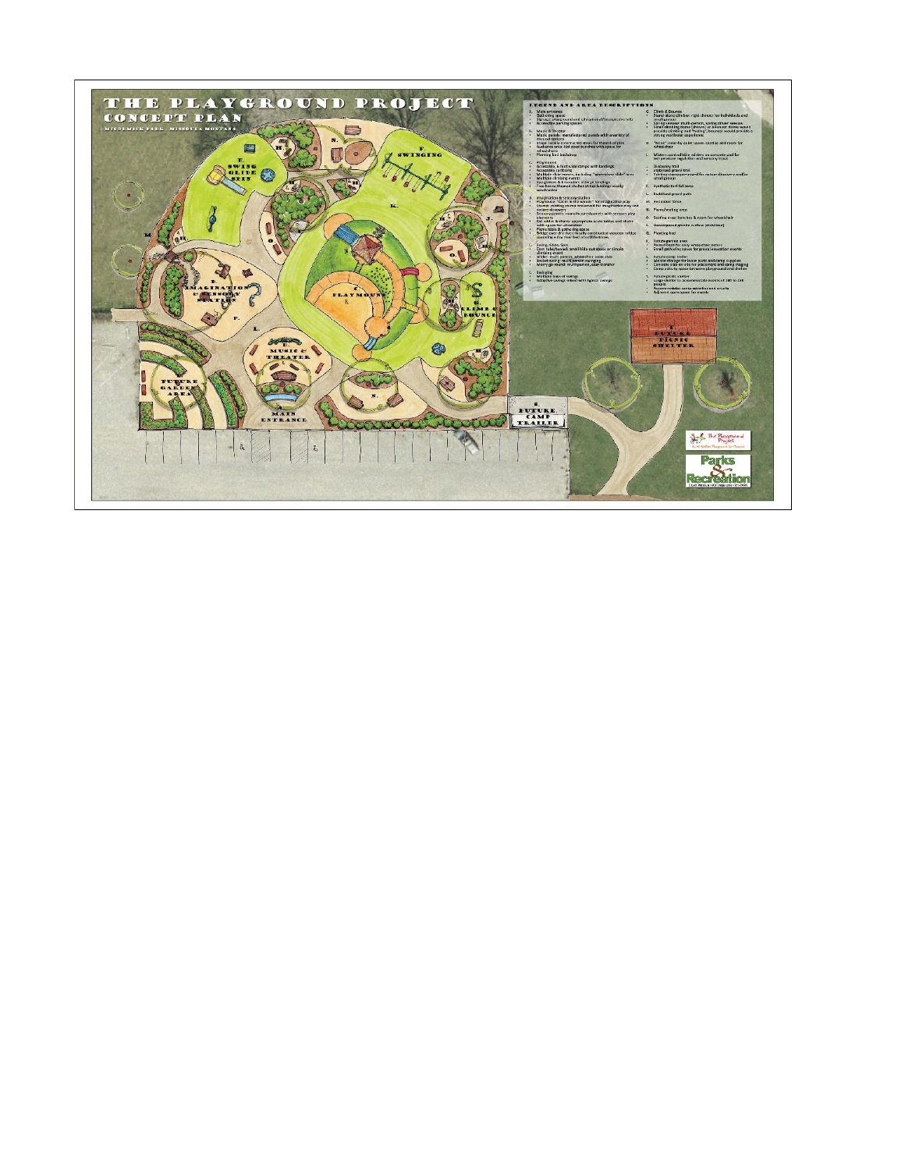